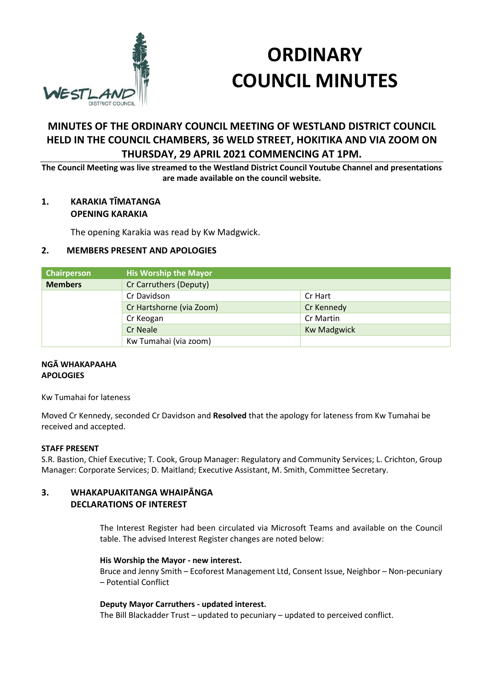

# **ORDINARY COUNCIL MINUTES**

# **MINUTES OF THE ORDINARY COUNCIL MEETING OF WESTLAND DISTRICT COUNCIL HELD IN THE COUNCIL CHAMBERS, 36 WELD STREET, HOKITIKA AND VIA ZOOM ON THURSDAY, 29 APRIL 2021 COMMENCING AT 1PM.**

**The Council Meeting was live streamed to the Westland District Council Youtube Channel and presentations are made available on the council website.** 

# **1. KARAKIA TĪMATANGA OPENING KARAKIA**

The opening Karakia was read by Kw Madgwick.

# **2. MEMBERS PRESENT AND APOLOGIES**

| Chairperson    | <b>His Worship the Mayor</b> |                    |
|----------------|------------------------------|--------------------|
| <b>Members</b> | Cr Carruthers (Deputy)       |                    |
|                | Cr Davidson                  | Cr Hart            |
|                | Cr Hartshorne (via Zoom)     | Cr Kennedy         |
|                | Cr Keogan                    | Cr Martin          |
|                | Cr Neale                     | <b>Kw Madgwick</b> |
|                | Kw Tumahai (via zoom)        |                    |

## **NGĀ WHAKAPAAHA APOLOGIES**

Kw Tumahai for lateness

Moved Cr Kennedy, seconded Cr Davidson and **Resolved** that the apology for lateness from Kw Tumahai be received and accepted.

## **STAFF PRESENT**

S.R. Bastion, Chief Executive; T. Cook, Group Manager: Regulatory and Community Services; L. Crichton, Group Manager: Corporate Services; D. Maitland; Executive Assistant, M. Smith, Committee Secretary.

# **3. WHAKAPUAKITANGA WHAIPĀNGA DECLARATIONS OF INTEREST**

The Interest Register had been circulated via Microsoft Teams and available on the Council table. The advised Interest Register changes are noted below:

## **His Worship the Mayor - new interest.**

Bruce and Jenny Smith – Ecoforest Management Ltd, Consent Issue, Neighbor – Non-pecuniary – Potential Conflict

# **Deputy Mayor Carruthers - updated interest.**

The Bill Blackadder Trust – updated to pecuniary – updated to perceived conflict.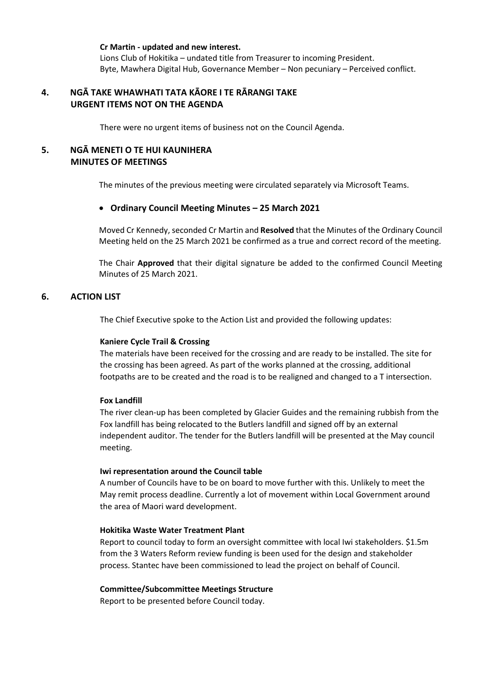**Cr Martin - updated and new interest.**  Lions Club of Hokitika – undated title from Treasurer to incoming President. Byte, Mawhera Digital Hub, Governance Member – Non pecuniary – Perceived conflict.

# **4. NGĀ TAKE WHAWHATI TATA KĀORE I TE RĀRANGI TAKE URGENT ITEMS NOT ON THE AGENDA**

There were no urgent items of business not on the Council Agenda.

# **5. NGĀ MENETI O TE HUI KAUNIHERA MINUTES OF MEETINGS**

The minutes of the previous meeting were circulated separately via Microsoft Teams.

## **Ordinary Council Meeting Minutes – 25 March 2021**

Moved Cr Kennedy, seconded Cr Martin and **Resolved** that the Minutes of the Ordinary Council Meeting held on the 25 March 2021 be confirmed as a true and correct record of the meeting.

The Chair **Approved** that their digital signature be added to the confirmed Council Meeting Minutes of 25 March 2021.

## **6. ACTION LIST**

The Chief Executive spoke to the Action List and provided the following updates:

## **Kaniere Cycle Trail & Crossing**

The materials have been received for the crossing and are ready to be installed. The site for the crossing has been agreed. As part of the works planned at the crossing, additional footpaths are to be created and the road is to be realigned and changed to a T intersection.

## **Fox Landfill**

The river clean-up has been completed by Glacier Guides and the remaining rubbish from the Fox landfill has being relocated to the Butlers landfill and signed off by an external independent auditor. The tender for the Butlers landfill will be presented at the May council meeting.

## **Iwi representation around the Council table**

A number of Councils have to be on board to move further with this. Unlikely to meet the May remit process deadline. Currently a lot of movement within Local Government around the area of Maori ward development.

## **Hokitika Waste Water Treatment Plant**

Report to council today to form an oversight committee with local Iwi stakeholders. \$1.5m from the 3 Waters Reform review funding is been used for the design and stakeholder process. Stantec have been commissioned to lead the project on behalf of Council.

#### **Committee/Subcommittee Meetings Structure**

Report to be presented before Council today.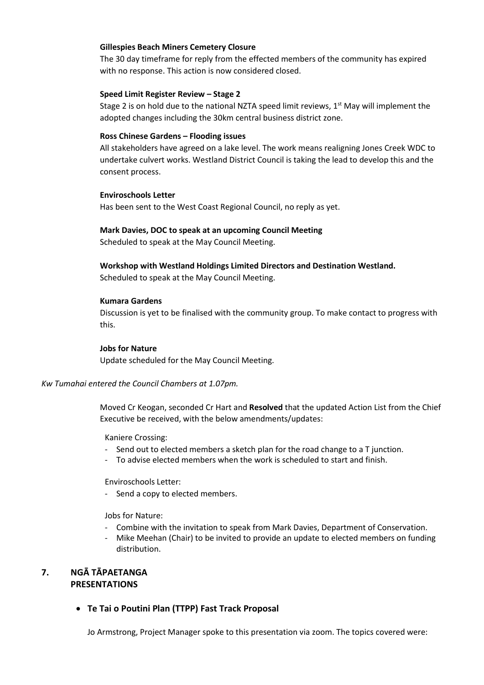## **Gillespies Beach Miners Cemetery Closure**

The 30 day timeframe for reply from the effected members of the community has expired with no response. This action is now considered closed.

## **Speed Limit Register Review – Stage 2**

Stage 2 is on hold due to the national NZTA speed limit reviews, 1<sup>st</sup> May will implement the adopted changes including the 30km central business district zone.

#### **Ross Chinese Gardens – Flooding issues**

All stakeholders have agreed on a lake level. The work means realigning Jones Creek WDC to undertake culvert works. Westland District Council is taking the lead to develop this and the consent process.

#### **Enviroschools Letter**

Has been sent to the West Coast Regional Council, no reply as yet.

#### **Mark Davies, DOC to speak at an upcoming Council Meeting**

Scheduled to speak at the May Council Meeting.

# **Workshop with Westland Holdings Limited Directors and Destination Westland.**

Scheduled to speak at the May Council Meeting.

#### **Kumara Gardens**

Discussion is yet to be finalised with the community group. To make contact to progress with this.

#### **Jobs for Nature**

Update scheduled for the May Council Meeting.

## *Kw Tumahai entered the Council Chambers at 1.07pm.*

Moved Cr Keogan, seconded Cr Hart and **Resolved** that the updated Action List from the Chief Executive be received, with the below amendments/updates:

#### Kaniere Crossing:

- Send out to elected members a sketch plan for the road change to a T junction.
- To advise elected members when the work is scheduled to start and finish.

Enviroschools Letter:

- Send a copy to elected members.

Jobs for Nature:

- Combine with the invitation to speak from Mark Davies, Department of Conservation.
- Mike Meehan (Chair) to be invited to provide an update to elected members on funding distribution.

# **7. NGĀ TĀPAETANGA PRESENTATIONS**

**Te Tai o Poutini Plan (TTPP) Fast Track Proposal**

Jo Armstrong, Project Manager spoke to this presentation via zoom. The topics covered were: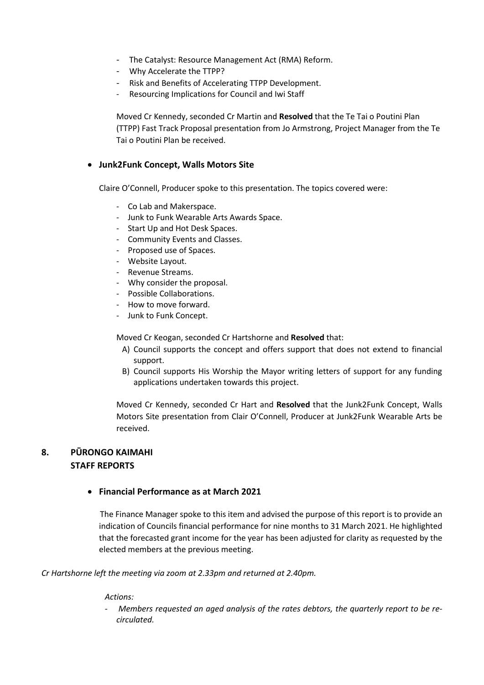- The Catalyst: Resource Management Act (RMA) Reform.
- Why Accelerate the TTPP?
- Risk and Benefits of Accelerating TTPP Development.
- Resourcing Implications for Council and Iwi Staff

Moved Cr Kennedy, seconded Cr Martin and **Resolved** that the Te Tai o Poutini Plan (TTPP) Fast Track Proposal presentation from Jo Armstrong, Project Manager from the Te Tai o Poutini Plan be received.

# **Junk2Funk Concept, Walls Motors Site**

Claire O'Connell, Producer spoke to this presentation. The topics covered were:

- Co Lab and Makerspace.
- Junk to Funk Wearable Arts Awards Space.
- Start Up and Hot Desk Spaces.
- Community Events and Classes.
- Proposed use of Spaces.
- Website Layout.
- Revenue Streams.
- Why consider the proposal.
- Possible Collaborations.
- How to move forward.
- Junk to Funk Concept.

Moved Cr Keogan, seconded Cr Hartshorne and **Resolved** that:

- A) Council supports the concept and offers support that does not extend to financial support.
- B) Council supports His Worship the Mayor writing letters of support for any funding applications undertaken towards this project.

Moved Cr Kennedy, seconded Cr Hart and **Resolved** that the Junk2Funk Concept, Walls Motors Site presentation from Clair O'Connell, Producer at Junk2Funk Wearable Arts be received.

# **8. PŪRONGO KAIMAHI STAFF REPORTS**

# **Financial Performance as at March 2021**

The Finance Manager spoke to this item and advised the purpose of this report is to provide an indication of Councils financial performance for nine months to 31 March 2021. He highlighted that the forecasted grant income for the year has been adjusted for clarity as requested by the elected members at the previous meeting.

*Cr Hartshorne left the meeting via zoom at 2.33pm and returned at 2.40pm.* 

## *Actions:*

- *Members requested an aged analysis of the rates debtors, the quarterly report to be recirculated.*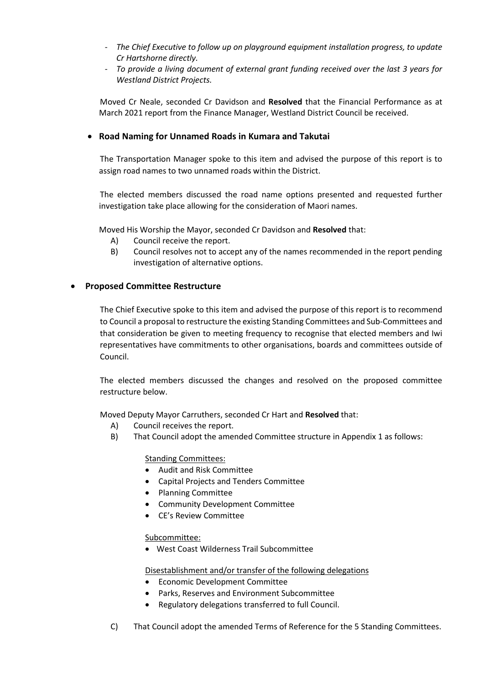- *The Chief Executive to follow up on playground equipment installation progress, to update Cr Hartshorne directly.*
- *To provide a living document of external grant funding received over the last 3 years for Westland District Projects.*

Moved Cr Neale, seconded Cr Davidson and **Resolved** that the Financial Performance as at March 2021 report from the Finance Manager, Westland District Council be received.

# **Road Naming for Unnamed Roads in Kumara and Takutai**

The Transportation Manager spoke to this item and advised the purpose of this report is to assign road names to two unnamed roads within the District.

The elected members discussed the road name options presented and requested further investigation take place allowing for the consideration of Maori names.

Moved His Worship the Mayor, seconded Cr Davidson and **Resolved** that:

- A) Council receive the report.
- B) Council resolves not to accept any of the names recommended in the report pending investigation of alternative options.

## **Proposed Committee Restructure**

The Chief Executive spoke to this item and advised the purpose of this report is to recommend to Council a proposal to restructure the existing Standing Committees and Sub-Committees and that consideration be given to meeting frequency to recognise that elected members and Iwi representatives have commitments to other organisations, boards and committees outside of Council.

The elected members discussed the changes and resolved on the proposed committee restructure below.

Moved Deputy Mayor Carruthers, seconded Cr Hart and **Resolved** that:

- A) Council receives the report.
- B) That Council adopt the amended Committee structure in Appendix 1 as follows:

Standing Committees:

- Audit and Risk Committee
- Capital Projects and Tenders Committee
- Planning Committee
- Community Development Committee
- CE's Review Committee

Subcommittee:

West Coast Wilderness Trail Subcommittee

Disestablishment and/or transfer of the following delegations

- Economic Development Committee
- Parks, Reserves and Environment Subcommittee
- Regulatory delegations transferred to full Council.
- C) That Council adopt the amended Terms of Reference for the 5 Standing Committees.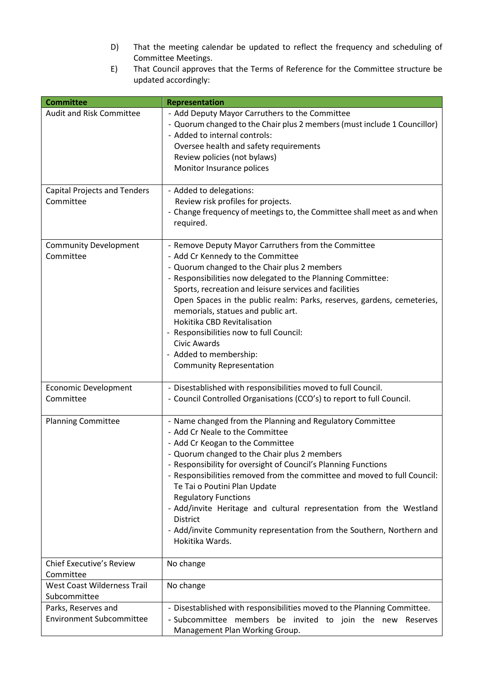- D) That the meeting calendar be updated to reflect the frequency and scheduling of Committee Meetings.
- E) That Council approves that the Terms of Reference for the Committee structure be updated accordingly:

| <b>Committee</b>                                       | <b>Representation</b>                                                                                                                                                                                                                                                                                                                                                                                                                                                                                                                                                        |
|--------------------------------------------------------|------------------------------------------------------------------------------------------------------------------------------------------------------------------------------------------------------------------------------------------------------------------------------------------------------------------------------------------------------------------------------------------------------------------------------------------------------------------------------------------------------------------------------------------------------------------------------|
| <b>Audit and Risk Committee</b>                        | - Add Deputy Mayor Carruthers to the Committee<br>- Quorum changed to the Chair plus 2 members (must include 1 Councillor)<br>- Added to internal controls:<br>Oversee health and safety requirements<br>Review policies (not bylaws)<br>Monitor Insurance polices                                                                                                                                                                                                                                                                                                           |
| <b>Capital Projects and Tenders</b><br>Committee       | - Added to delegations:<br>Review risk profiles for projects.<br>- Change frequency of meetings to, the Committee shall meet as and when<br>required.                                                                                                                                                                                                                                                                                                                                                                                                                        |
| <b>Community Development</b><br>Committee              | - Remove Deputy Mayor Carruthers from the Committee<br>- Add Cr Kennedy to the Committee<br>- Quorum changed to the Chair plus 2 members<br>- Responsibilities now delegated to the Planning Committee:<br>Sports, recreation and leisure services and facilities<br>Open Spaces in the public realm: Parks, reserves, gardens, cemeteries,<br>memorials, statues and public art.<br>Hokitika CBD Revitalisation<br>- Responsibilities now to full Council:<br><b>Civic Awards</b><br>- Added to membership:<br><b>Community Representation</b>                              |
| Economic Development<br>Committee                      | - Disestablished with responsibilities moved to full Council.<br>- Council Controlled Organisations (CCO's) to report to full Council.                                                                                                                                                                                                                                                                                                                                                                                                                                       |
| <b>Planning Committee</b>                              | - Name changed from the Planning and Regulatory Committee<br>- Add Cr Neale to the Committee<br>- Add Cr Keogan to the Committee<br>- Quorum changed to the Chair plus 2 members<br>- Responsibility for oversight of Council's Planning Functions<br>- Responsibilities removed from the committee and moved to full Council:<br>Te Tai o Poutini Plan Update<br><b>Regulatory Functions</b><br>- Add/invite Heritage and cultural representation from the Westland<br>District<br>- Add/invite Community representation from the Southern, Northern and<br>Hokitika Wards. |
| Chief Executive's Review<br>Committee                  | No change                                                                                                                                                                                                                                                                                                                                                                                                                                                                                                                                                                    |
| West Coast Wilderness Trail                            | No change                                                                                                                                                                                                                                                                                                                                                                                                                                                                                                                                                                    |
| Subcommittee                                           |                                                                                                                                                                                                                                                                                                                                                                                                                                                                                                                                                                              |
| Parks, Reserves and<br><b>Environment Subcommittee</b> | - Disestablished with responsibilities moved to the Planning Committee.<br>- Subcommittee members be invited to join the new Reserves<br>Management Plan Working Group.                                                                                                                                                                                                                                                                                                                                                                                                      |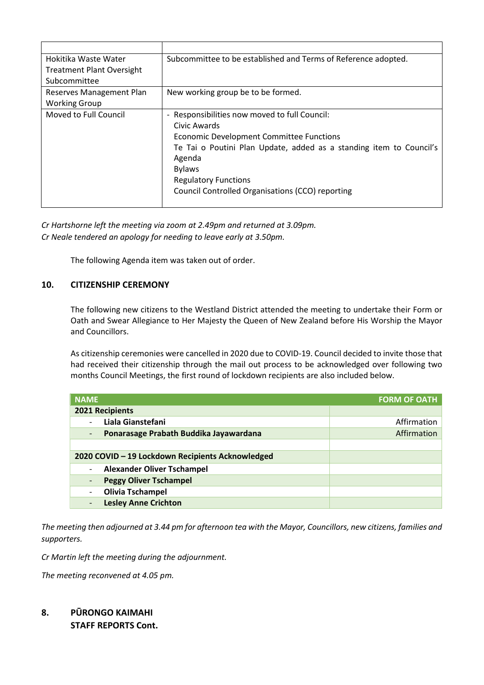| Hokitika Waste Water<br><b>Treatment Plant Oversight</b> | Subcommittee to be established and Terms of Reference adopted.      |
|----------------------------------------------------------|---------------------------------------------------------------------|
| Subcommittee                                             |                                                                     |
|                                                          |                                                                     |
| Reserves Management Plan                                 | New working group be to be formed.                                  |
| <b>Working Group</b>                                     |                                                                     |
| Moved to Full Council                                    | - Responsibilities now moved to full Council:                       |
|                                                          | Civic Awards                                                        |
|                                                          | <b>Economic Development Committee Functions</b>                     |
|                                                          | Te Tai o Poutini Plan Update, added as a standing item to Council's |
|                                                          | Agenda                                                              |
|                                                          | <b>Bylaws</b>                                                       |
|                                                          | <b>Regulatory Functions</b>                                         |
|                                                          | Council Controlled Organisations (CCO) reporting                    |
|                                                          |                                                                     |

*Cr Hartshorne left the meeting via zoom at 2.49pm and returned at 3.09pm. Cr Neale tendered an apology for needing to leave early at 3.50pm.* 

The following Agenda item was taken out of order.

# **10. CITIZENSHIP CEREMONY**

The following new citizens to the Westland District attended the meeting to undertake their Form or Oath and Swear Allegiance to Her Majesty the Queen of New Zealand before His Worship the Mayor and Councillors.

As citizenship ceremonies were cancelled in 2020 due to COVID-19. Council decided to invite those that had received their citizenship through the mail out process to be acknowledged over following two months Council Meetings, the first round of lockdown recipients are also included below.

| <b>NAME</b>                                      | <b>FORM OF OATH</b> |
|--------------------------------------------------|---------------------|
| 2021 Recipients                                  |                     |
| Liala Gianstefani                                | Affirmation         |
| Ponarasage Prabath Buddika Jayawardana           | Affirmation         |
|                                                  |                     |
| 2020 COVID - 19 Lockdown Recipients Acknowledged |                     |
| <b>Alexander Oliver Tschampel</b><br>-           |                     |
| <b>Peggy Oliver Tschampel</b>                    |                     |
| <b>Olivia Tschampel</b>                          |                     |
| <b>Lesley Anne Crichton</b>                      |                     |

*The meeting then adjourned at 3.44 pm for afternoon tea with the Mayor, Councillors, new citizens, families and supporters.* 

*Cr Martin left the meeting during the adjournment.* 

*The meeting reconvened at 4.05 pm.* 

# **8. PŪRONGO KAIMAHI STAFF REPORTS Cont.**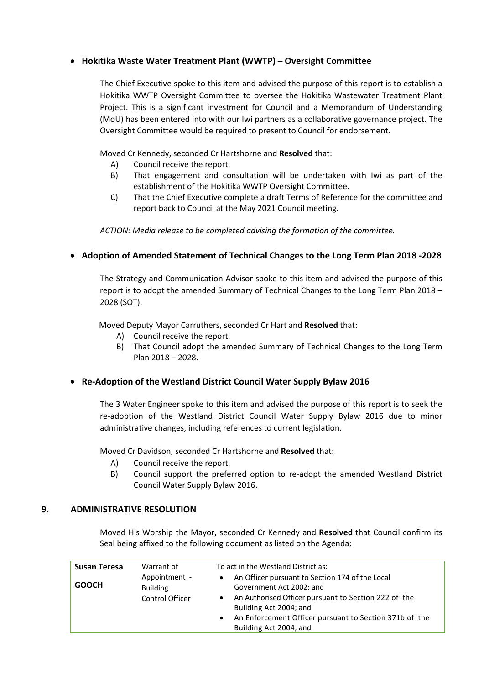# **Hokitika Waste Water Treatment Plant (WWTP) – Oversight Committee**

The Chief Executive spoke to this item and advised the purpose of this report is to establish a Hokitika WWTP Oversight Committee to oversee the Hokitika Wastewater Treatment Plant Project. This is a significant investment for Council and a Memorandum of Understanding (MoU) has been entered into with our Iwi partners as a collaborative governance project. The Oversight Committee would be required to present to Council for endorsement.

Moved Cr Kennedy, seconded Cr Hartshorne and **Resolved** that:

- A) Council receive the report.
- B) That engagement and consultation will be undertaken with Iwi as part of the establishment of the Hokitika WWTP Oversight Committee.
- C) That the Chief Executive complete a draft Terms of Reference for the committee and report back to Council at the May 2021 Council meeting.

*ACTION: Media release to be completed advising the formation of the committee.* 

# **Adoption of Amended Statement of Technical Changes to the Long Term Plan 2018 -2028**

The Strategy and Communication Advisor spoke to this item and advised the purpose of this report is to adopt the amended Summary of Technical Changes to the Long Term Plan 2018 – 2028 (SOT).

Moved Deputy Mayor Carruthers, seconded Cr Hart and **Resolved** that:

- A) Council receive the report.
- B) That Council adopt the amended Summary of Technical Changes to the Long Term Plan 2018 – 2028.

# **Re-Adoption of the Westland District Council Water Supply Bylaw 2016**

The 3 Water Engineer spoke to this item and advised the purpose of this report is to seek the re-adoption of the Westland District Council Water Supply Bylaw 2016 due to minor administrative changes, including references to current legislation.

Moved Cr Davidson, seconded Cr Hartshorne and **Resolved** that:

- A) Council receive the report.
- B) Council support the preferred option to re-adopt the amended Westland District Council Water Supply Bylaw 2016.

# **9. ADMINISTRATIVE RESOLUTION**

Moved His Worship the Mayor, seconded Cr Kennedy and **Resolved** that Council confirm its Seal being affixed to the following document as listed on the Agenda:

| <b>Susan Teresa</b> | Warrant of                                          | To act in the Westland District as:                                                                                                                                                                                                                                         |
|---------------------|-----------------------------------------------------|-----------------------------------------------------------------------------------------------------------------------------------------------------------------------------------------------------------------------------------------------------------------------------|
| <b>GOOCH</b>        | Appointment -<br><b>Building</b><br>Control Officer | An Officer pursuant to Section 174 of the Local<br>Government Act 2002; and<br>An Authorised Officer pursuant to Section 222 of the<br>$\bullet$<br>Building Act 2004; and<br>An Enforcement Officer pursuant to Section 371b of the<br>$\bullet$<br>Building Act 2004; and |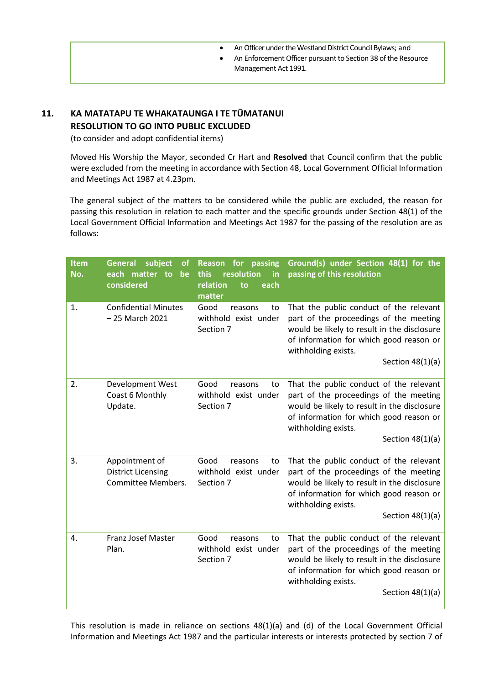- An Officer under the Westland District Council Bylaws; and
- An Enforcement Officer pursuant to Section 38 of the Resource Management Act 1991.

# **11. KA MATATAPU TE WHAKATAUNGA I TE TŪMATANUI RESOLUTION TO GO INTO PUBLIC EXCLUDED**

(to consider and adopt confidential items)

 Moved His Worship the Mayor, seconded Cr Hart and **Resolved** that Council confirm that the public were excluded from the meeting in accordance with Section 48, Local Government Official Information and Meetings Act 1987 at 4.23pm.

The general subject of the matters to be considered while the public are excluded, the reason for passing this resolution in relation to each matter and the specific grounds under Section 48(1) of the Local Government Official Information and Meetings Act 1987 for the passing of the resolution are as follows:

| Item<br>No. | subject<br><b>General</b><br><b>of</b><br>each matter to<br>be<br>considered | for<br>passing<br><b>Reason</b><br>this<br>resolution<br>in<br>relation<br>each<br>to<br>matter | Ground(s) under Section 48(1) for the<br>passing of this resolution                                                                                                                                                      |
|-------------|------------------------------------------------------------------------------|-------------------------------------------------------------------------------------------------|--------------------------------------------------------------------------------------------------------------------------------------------------------------------------------------------------------------------------|
| 1.          | <b>Confidential Minutes</b><br>- 25 March 2021                               | Good<br>reasons<br>to<br>withhold exist under<br>Section 7                                      | That the public conduct of the relevant<br>part of the proceedings of the meeting<br>would be likely to result in the disclosure<br>of information for which good reason or<br>withholding exists.<br>Section $48(1)(a)$ |
| 2.          | Development West<br>Coast 6 Monthly<br>Update.                               | Good<br>reasons<br>to<br>withhold exist under<br>Section 7                                      | That the public conduct of the relevant<br>part of the proceedings of the meeting<br>would be likely to result in the disclosure<br>of information for which good reason or<br>withholding exists.<br>Section $48(1)(a)$ |
| 3.          | Appointment of<br><b>District Licensing</b><br>Committee Members.            | Good<br>reasons<br>to<br>withhold exist under<br>Section 7                                      | That the public conduct of the relevant<br>part of the proceedings of the meeting<br>would be likely to result in the disclosure<br>of information for which good reason or<br>withholding exists.<br>Section $48(1)(a)$ |
| 4.          | <b>Franz Josef Master</b><br>Plan.                                           | Good<br>reasons<br>to<br>withhold exist under<br>Section 7                                      | That the public conduct of the relevant<br>part of the proceedings of the meeting<br>would be likely to result in the disclosure<br>of information for which good reason or<br>withholding exists.<br>Section $48(1)(a)$ |

This resolution is made in reliance on sections 48(1)(a) and (d) of the Local Government Official Information and Meetings Act 1987 and the particular interests or interests protected by section 7 of